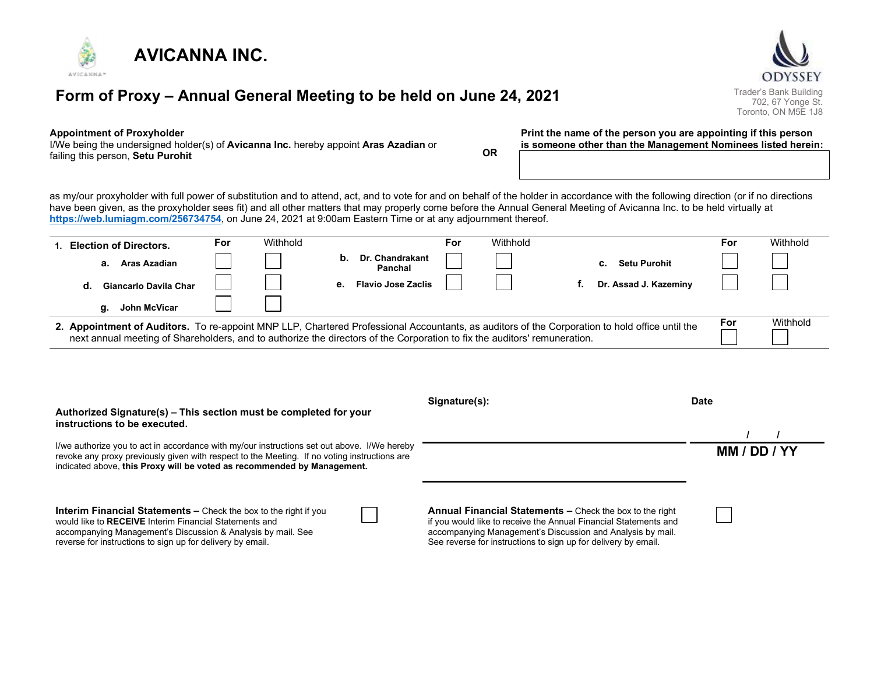

# Form of Proxy – Annual General Meeting to be held on June 24, 2021 Trader's Bank Building

#### Appointment of Proxyholder

I/We being the undersigned holder(s) of **Avicanna Inc.** hereby appoint **Aras Azadian** or failing this person, Setu Purohit **Contract Contract Contract Contract Contract Contract Contract Contract Contract Contract Contract Contract Contract Contract Contract Contract Contract Contract Contract Contract Contrac** 

Print the name of the person you are appointing if this person is someone other than the Management Nominees listed herein:

as my/our proxyholder with full power of substitution and to attend, act, and to vote for and on behalf of the holder in accordance with the following direction (or if no directions have been given, as the proxyholder sees fit) and all other matters that may properly come before the Annual General Meeting of Avicanna Inc. to be held virtually at https://web.lumiagm.com/256734754, on June 24, 2021 at 9:00am Eastern Time or at any adjournment thereof.

|                                                                                                                                                                                                                                                                             | 1. Election of Directors. | For | Withhold |    |                            | For | Withhold |                       | For      | Withhold |
|-----------------------------------------------------------------------------------------------------------------------------------------------------------------------------------------------------------------------------------------------------------------------------|---------------------------|-----|----------|----|----------------------------|-----|----------|-----------------------|----------|----------|
|                                                                                                                                                                                                                                                                             | Aras Azadian<br>а.        |     |          | b. | Dr. Chandrakant<br>Panchal |     |          | <b>Setu Purohit</b>   |          |          |
|                                                                                                                                                                                                                                                                             | Giancarlo Davila Char     |     |          | е. | <b>Flavio Jose Zaclis</b>  |     |          | Dr. Assad J. Kazeminy |          |          |
|                                                                                                                                                                                                                                                                             | John McVicar<br>α.        |     |          |    |                            |     |          |                       |          |          |
| 2. Appointment of Auditors. To re-appoint MNP LLP, Chartered Professional Accountants, as auditors of the Corporation to hold office until the<br>next annual meeting of Shareholders, and to authorize the directors of the Corporation to fix the auditors' remuneration. |                           |     |          |    |                            |     |          | For                   | Withhold |          |

| Authorized Signature(s) – This section must be completed for your<br>instructions to be executed.                                                                                                                                                                      | Signature(s):                                                                                                                                                                                                                                                | <b>Date</b>  |
|------------------------------------------------------------------------------------------------------------------------------------------------------------------------------------------------------------------------------------------------------------------------|--------------------------------------------------------------------------------------------------------------------------------------------------------------------------------------------------------------------------------------------------------------|--------------|
| I/we authorize you to act in accordance with my/our instructions set out above. I/We hereby<br>revoke any proxy previously given with respect to the Meeting. If no voting instructions are<br>indicated above, this Proxy will be voted as recommended by Management. |                                                                                                                                                                                                                                                              | MM / DD / YY |
| <b>Interim Financial Statements –</b> Check the box to the right if you<br>would like to RECEIVE Interim Financial Statements and<br>accompanying Management's Discussion & Analysis by mail. See<br>reverse for instructions to sign up for delivery by email.        | Annual Financial Statements - Check the box to the right<br>if you would like to receive the Annual Financial Statements and<br>accompanying Management's Discussion and Analysis by mail.<br>See reverse for instructions to sign up for delivery by email. |              |